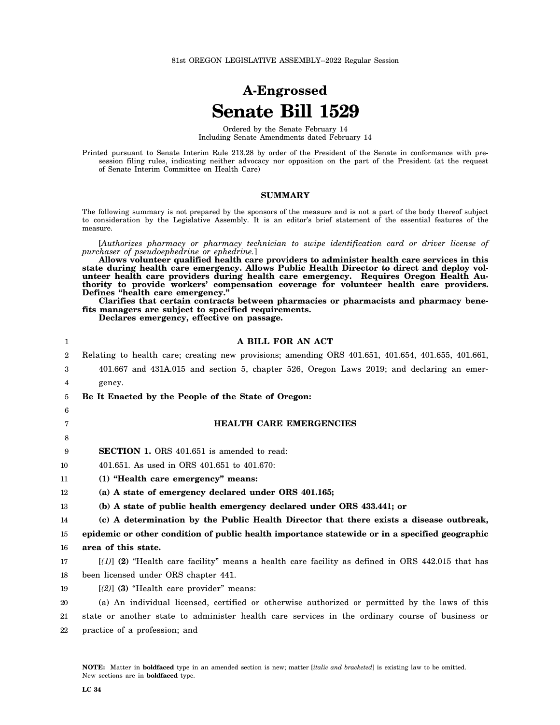# **A-Engrossed Senate Bill 1529**

Ordered by the Senate February 14 Including Senate Amendments dated February 14

Printed pursuant to Senate Interim Rule 213.28 by order of the President of the Senate in conformance with presession filing rules, indicating neither advocacy nor opposition on the part of the President (at the request of Senate Interim Committee on Health Care)

#### **SUMMARY**

The following summary is not prepared by the sponsors of the measure and is not a part of the body thereof subject to consideration by the Legislative Assembly. It is an editor's brief statement of the essential features of the measure.

[*Authorizes pharmacy or pharmacy technician to swipe identification card or driver license of purchaser of pseudoephedrine or ephedrine.*]

**Allows volunteer qualified health care providers to administer health care services in this** state during health care emergency. Allows Public Health Director to direct and deploy vol**unteer health care providers during health care emergency. Requires Oregon Health Authority to provide workers' compensation coverage for volunteer health care providers. Defines "health care emergency."**

**Clarifies that certain contracts between pharmacies or pharmacists and pharmacy benefits managers are subject to specified requirements.**

**Declares emergency, effective on passage.**

| 1  | A BILL FOR AN ACT                                                                                  |
|----|----------------------------------------------------------------------------------------------------|
| 2  | Relating to health care; creating new provisions; amending ORS 401.651, 401.654, 401.655, 401.661, |
| 3  | 401.667 and 431A.015 and section 5, chapter 526, Oregon Laws 2019; and declaring an emer-          |
| 4  | gency.                                                                                             |
| 5  | Be It Enacted by the People of the State of Oregon:                                                |
| 6  |                                                                                                    |
| 7  | <b>HEALTH CARE EMERGENCIES</b>                                                                     |
| 8  |                                                                                                    |
| 9  | <b>SECTION 1.</b> ORS 401.651 is amended to read:                                                  |
| 10 | 401.651. As used in ORS 401.651 to 401.670:                                                        |
| 11 | (1) "Health care emergency" means:                                                                 |
| 12 | (a) A state of emergency declared under ORS 401.165;                                               |
| 13 | (b) A state of public health emergency declared under ORS 433.441; or                              |
| 14 | (c) A determination by the Public Health Director that there exists a disease outbreak,            |
| 15 | epidemic or other condition of public health importance statewide or in a specified geographic     |
| 16 | area of this state.                                                                                |
| 17 | $[(1)]$ (2) "Health care facility" means a health care facility as defined in ORS 442.015 that has |
| 18 | been licensed under ORS chapter 441.                                                               |
| 19 | $[2]$ (3) "Health care provider" means:                                                            |
| 20 | (a) An individual licensed, certified or otherwise authorized or permitted by the laws of this     |
| 21 | state or another state to administer health care services in the ordinary course of business or    |
| 22 | practice of a profession; and                                                                      |
|    |                                                                                                    |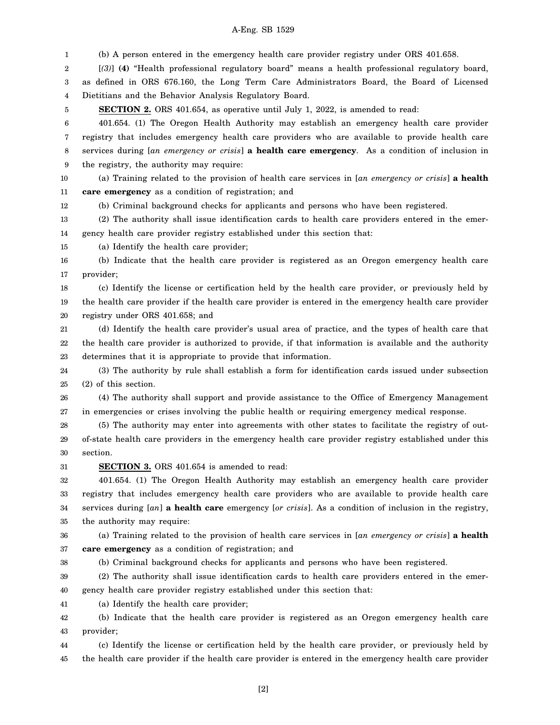1 2 3 4 5 6 7 8 9 10 11 12 13 14 15 16 17 18 19 20 21 22 23 24 25 26 27 28 29 30 31 32 33 34 35 36 37 38 39 40 41 42 43 44 45 (b) A person entered in the emergency health care provider registry under ORS 401.658. [*(3)*] **(4)** "Health professional regulatory board" means a health professional regulatory board, as defined in ORS 676.160, the Long Term Care Administrators Board, the Board of Licensed Dietitians and the Behavior Analysis Regulatory Board. **SECTION 2.** ORS 401.654, as operative until July 1, 2022, is amended to read: 401.654. (1) The Oregon Health Authority may establish an emergency health care provider registry that includes emergency health care providers who are available to provide health care services during [*an emergency or crisis*] **a health care emergency**. As a condition of inclusion in the registry, the authority may require: (a) Training related to the provision of health care services in [*an emergency or crisis*] **a health care emergency** as a condition of registration; and (b) Criminal background checks for applicants and persons who have been registered. (2) The authority shall issue identification cards to health care providers entered in the emergency health care provider registry established under this section that: (a) Identify the health care provider; (b) Indicate that the health care provider is registered as an Oregon emergency health care provider; (c) Identify the license or certification held by the health care provider, or previously held by the health care provider if the health care provider is entered in the emergency health care provider registry under ORS 401.658; and (d) Identify the health care provider's usual area of practice, and the types of health care that the health care provider is authorized to provide, if that information is available and the authority determines that it is appropriate to provide that information. (3) The authority by rule shall establish a form for identification cards issued under subsection (2) of this section. (4) The authority shall support and provide assistance to the Office of Emergency Management in emergencies or crises involving the public health or requiring emergency medical response. (5) The authority may enter into agreements with other states to facilitate the registry of outof-state health care providers in the emergency health care provider registry established under this section. **SECTION 3.** ORS 401.654 is amended to read: 401.654. (1) The Oregon Health Authority may establish an emergency health care provider registry that includes emergency health care providers who are available to provide health care services during [*an*] **a health care** emergency [*or crisis*]. As a condition of inclusion in the registry, the authority may require: (a) Training related to the provision of health care services in [*an emergency or crisis*] **a health care emergency** as a condition of registration; and (b) Criminal background checks for applicants and persons who have been registered. (2) The authority shall issue identification cards to health care providers entered in the emergency health care provider registry established under this section that: (a) Identify the health care provider; (b) Indicate that the health care provider is registered as an Oregon emergency health care provider; (c) Identify the license or certification held by the health care provider, or previously held by the health care provider if the health care provider is entered in the emergency health care provider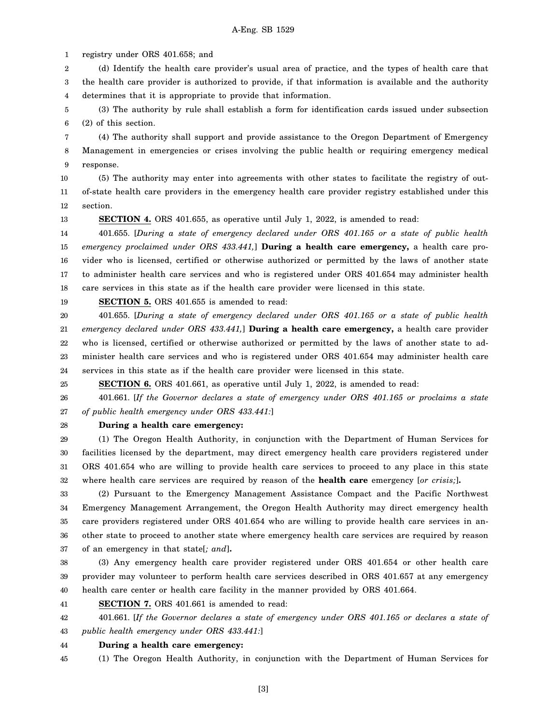1 registry under ORS 401.658; and

13

25

2 3 4 (d) Identify the health care provider's usual area of practice, and the types of health care that the health care provider is authorized to provide, if that information is available and the authority determines that it is appropriate to provide that information.

5 6 (3) The authority by rule shall establish a form for identification cards issued under subsection (2) of this section.

7 8 9 (4) The authority shall support and provide assistance to the Oregon Department of Emergency Management in emergencies or crises involving the public health or requiring emergency medical response.

10 11 12 (5) The authority may enter into agreements with other states to facilitate the registry of outof-state health care providers in the emergency health care provider registry established under this section.

**SECTION 4.** ORS 401.655, as operative until July 1, 2022, is amended to read:

14 15 16 17 18 401.655. [*During a state of emergency declared under ORS 401.165 or a state of public health emergency proclaimed under ORS 433.441,*] **During a health care emergency,** a health care provider who is licensed, certified or otherwise authorized or permitted by the laws of another state to administer health care services and who is registered under ORS 401.654 may administer health care services in this state as if the health care provider were licensed in this state.

19 **SECTION 5.** ORS 401.655 is amended to read:

20 21 22 23 24 401.655. [*During a state of emergency declared under ORS 401.165 or a state of public health emergency declared under ORS 433.441,*] **During a health care emergency,** a health care provider who is licensed, certified or otherwise authorized or permitted by the laws of another state to administer health care services and who is registered under ORS 401.654 may administer health care services in this state as if the health care provider were licensed in this state.

**SECTION 6.** ORS 401.661, as operative until July 1, 2022, is amended to read:

26 27 401.661. [*If the Governor declares a state of emergency under ORS 401.165 or proclaims a state of public health emergency under ORS 433.441:*]

28 **During a health care emergency:**

29 30 31 32 (1) The Oregon Health Authority, in conjunction with the Department of Human Services for facilities licensed by the department, may direct emergency health care providers registered under ORS 401.654 who are willing to provide health care services to proceed to any place in this state where health care services are required by reason of the **health care** emergency [*or crisis;*]**.**

33 34 35 36 37 (2) Pursuant to the Emergency Management Assistance Compact and the Pacific Northwest Emergency Management Arrangement, the Oregon Health Authority may direct emergency health care providers registered under ORS 401.654 who are willing to provide health care services in another state to proceed to another state where emergency health care services are required by reason of an emergency in that state[*; and*]**.**

38 39 40 (3) Any emergency health care provider registered under ORS 401.654 or other health care provider may volunteer to perform health care services described in ORS 401.657 at any emergency health care center or health care facility in the manner provided by ORS 401.664.

41 **SECTION 7.** ORS 401.661 is amended to read:

42 43 401.661. [*If the Governor declares a state of emergency under ORS 401.165 or declares a state of public health emergency under ORS 433.441:*]

44 **During a health care emergency:**

45 (1) The Oregon Health Authority, in conjunction with the Department of Human Services for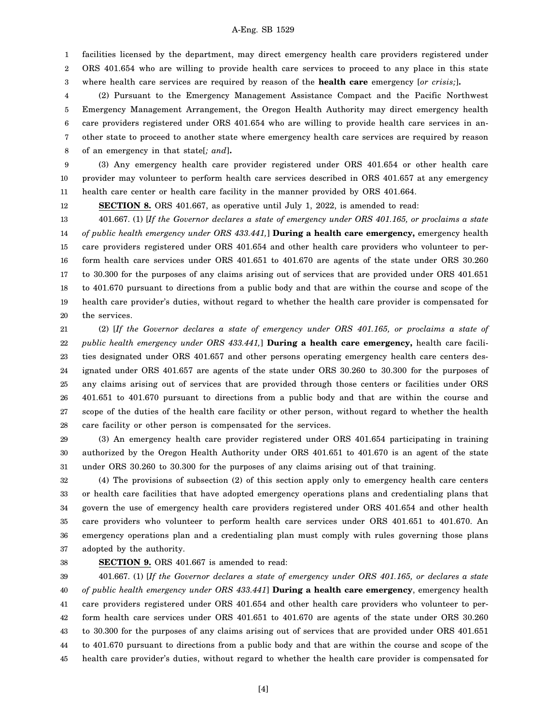1 facilities licensed by the department, may direct emergency health care providers registered under

2 3 ORS 401.654 who are willing to provide health care services to proceed to any place in this state where health care services are required by reason of the **health care** emergency [*or crisis;*]**.**

4 5 6 7 8 (2) Pursuant to the Emergency Management Assistance Compact and the Pacific Northwest Emergency Management Arrangement, the Oregon Health Authority may direct emergency health care providers registered under ORS 401.654 who are willing to provide health care services in another state to proceed to another state where emergency health care services are required by reason of an emergency in that state[*; and*]**.**

9 10 11 (3) Any emergency health care provider registered under ORS 401.654 or other health care provider may volunteer to perform health care services described in ORS 401.657 at any emergency health care center or health care facility in the manner provided by ORS 401.664.

12 **SECTION 8.** ORS 401.667, as operative until July 1, 2022, is amended to read:

13 14 15 16 17 18 19 20 401.667. (1) [*If the Governor declares a state of emergency under ORS 401.165, or proclaims a state of public health emergency under ORS 433.441,*] **During a health care emergency,** emergency health care providers registered under ORS 401.654 and other health care providers who volunteer to perform health care services under ORS 401.651 to 401.670 are agents of the state under ORS 30.260 to 30.300 for the purposes of any claims arising out of services that are provided under ORS 401.651 to 401.670 pursuant to directions from a public body and that are within the course and scope of the health care provider's duties, without regard to whether the health care provider is compensated for the services.

21 22 23 24 25 26 27 28 (2) [*If the Governor declares a state of emergency under ORS 401.165, or proclaims a state of public health emergency under ORS 433.441,*] **During a health care emergency,** health care facilities designated under ORS 401.657 and other persons operating emergency health care centers designated under ORS 401.657 are agents of the state under ORS 30.260 to 30.300 for the purposes of any claims arising out of services that are provided through those centers or facilities under ORS 401.651 to 401.670 pursuant to directions from a public body and that are within the course and scope of the duties of the health care facility or other person, without regard to whether the health care facility or other person is compensated for the services.

29 30 31 (3) An emergency health care provider registered under ORS 401.654 participating in training authorized by the Oregon Health Authority under ORS 401.651 to 401.670 is an agent of the state under ORS 30.260 to 30.300 for the purposes of any claims arising out of that training.

32 33 34 35 36 37 (4) The provisions of subsection (2) of this section apply only to emergency health care centers or health care facilities that have adopted emergency operations plans and credentialing plans that govern the use of emergency health care providers registered under ORS 401.654 and other health care providers who volunteer to perform health care services under ORS 401.651 to 401.670. An emergency operations plan and a credentialing plan must comply with rules governing those plans adopted by the authority.

38

## **SECTION 9.** ORS 401.667 is amended to read:

39 40 41 42 43 44 45 401.667. (1) [*If the Governor declares a state of emergency under ORS 401.165, or declares a state of public health emergency under ORS 433.441*] **During a health care emergency**, emergency health care providers registered under ORS 401.654 and other health care providers who volunteer to perform health care services under ORS 401.651 to 401.670 are agents of the state under ORS 30.260 to 30.300 for the purposes of any claims arising out of services that are provided under ORS 401.651 to 401.670 pursuant to directions from a public body and that are within the course and scope of the health care provider's duties, without regard to whether the health care provider is compensated for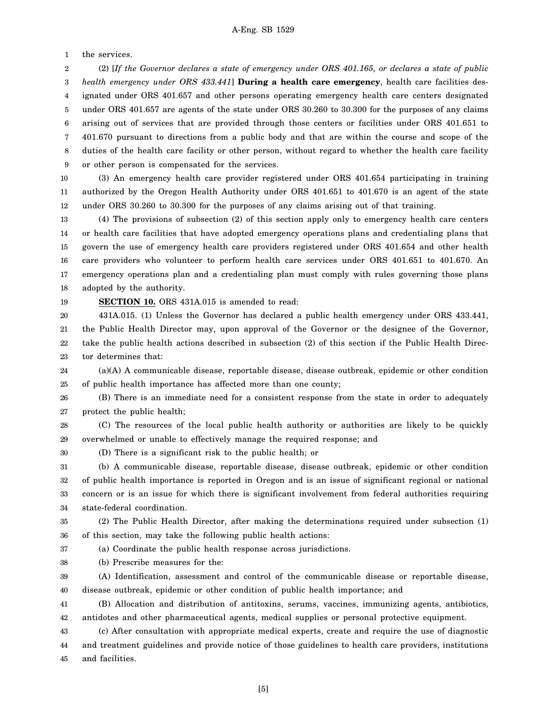1 the services.

2 3 4 5 6 7 8 9 (2) [*If the Governor declares a state of emergency under ORS 401.165, or declares a state of public health emergency under ORS 433.441*] **During a health care emergency**, health care facilities designated under ORS 401.657 and other persons operating emergency health care centers designated under ORS 401.657 are agents of the state under ORS 30.260 to 30.300 for the purposes of any claims arising out of services that are provided through those centers or facilities under ORS 401.651 to 401.670 pursuant to directions from a public body and that are within the course and scope of the duties of the health care facility or other person, without regard to whether the health care facility or other person is compensated for the services.

10 11 12 (3) An emergency health care provider registered under ORS 401.654 participating in training authorized by the Oregon Health Authority under ORS 401.651 to 401.670 is an agent of the state under ORS 30.260 to 30.300 for the purposes of any claims arising out of that training.

13 14 15 16 17 18 (4) The provisions of subsection (2) of this section apply only to emergency health care centers or health care facilities that have adopted emergency operations plans and credentialing plans that govern the use of emergency health care providers registered under ORS 401.654 and other health care providers who volunteer to perform health care services under ORS 401.651 to 401.670. An emergency operations plan and a credentialing plan must comply with rules governing those plans adopted by the authority.

19

**SECTION 10.** ORS 431A.015 is amended to read:

20 21 22 23 431A.015. (1) Unless the Governor has declared a public health emergency under ORS 433.441, the Public Health Director may, upon approval of the Governor or the designee of the Governor, take the public health actions described in subsection (2) of this section if the Public Health Director determines that:

24 25 (a)(A) A communicable disease, reportable disease, disease outbreak, epidemic or other condition of public health importance has affected more than one county;

26 27 (B) There is an immediate need for a consistent response from the state in order to adequately protect the public health;

28 29 (C) The resources of the local public health authority or authorities are likely to be quickly overwhelmed or unable to effectively manage the required response; and

(D) There is a significant risk to the public health; or

31 32 33 34 (b) A communicable disease, reportable disease, disease outbreak, epidemic or other condition of public health importance is reported in Oregon and is an issue of significant regional or national concern or is an issue for which there is significant involvement from federal authorities requiring state-federal coordination.

35 36 (2) The Public Health Director, after making the determinations required under subsection (1) of this section, may take the following public health actions:

37 (a) Coordinate the public health response across jurisdictions.

38 (b) Prescribe measures for the:

39 40 (A) Identification, assessment and control of the communicable disease or reportable disease, disease outbreak, epidemic or other condition of public health importance; and

41 42 (B) Allocation and distribution of antitoxins, serums, vaccines, immunizing agents, antibiotics, antidotes and other pharmaceutical agents, medical supplies or personal protective equipment.

43 44 (c) After consultation with appropriate medical experts, create and require the use of diagnostic and treatment guidelines and provide notice of those guidelines to health care providers, institutions

45 and facilities.

30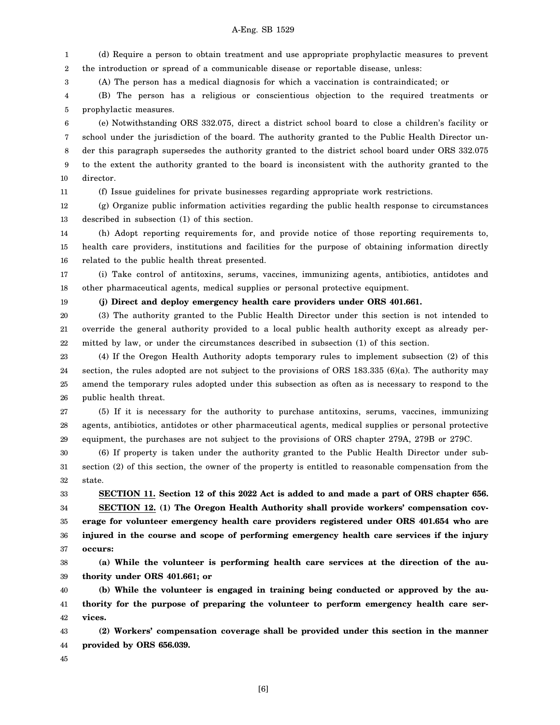1 2 (d) Require a person to obtain treatment and use appropriate prophylactic measures to prevent the introduction or spread of a communicable disease or reportable disease, unless:

(A) The person has a medical diagnosis for which a vaccination is contraindicated; or

4 5 (B) The person has a religious or conscientious objection to the required treatments or prophylactic measures.

6 7 8 9 10 (e) Notwithstanding ORS 332.075, direct a district school board to close a children's facility or school under the jurisdiction of the board. The authority granted to the Public Health Director under this paragraph supersedes the authority granted to the district school board under ORS 332.075 to the extent the authority granted to the board is inconsistent with the authority granted to the director.

11

3

(f) Issue guidelines for private businesses regarding appropriate work restrictions.

12 13 (g) Organize public information activities regarding the public health response to circumstances described in subsection (1) of this section.

14 15 16 (h) Adopt reporting requirements for, and provide notice of those reporting requirements to, health care providers, institutions and facilities for the purpose of obtaining information directly related to the public health threat presented.

17 18 (i) Take control of antitoxins, serums, vaccines, immunizing agents, antibiotics, antidotes and other pharmaceutical agents, medical supplies or personal protective equipment.

19

**(j) Direct and deploy emergency health care providers under ORS 401.661.**

20 21 22 (3) The authority granted to the Public Health Director under this section is not intended to override the general authority provided to a local public health authority except as already permitted by law, or under the circumstances described in subsection (1) of this section.

23 24 25 26 (4) If the Oregon Health Authority adopts temporary rules to implement subsection (2) of this section, the rules adopted are not subject to the provisions of ORS 183.335 (6)(a). The authority may amend the temporary rules adopted under this subsection as often as is necessary to respond to the public health threat.

27 28 29 (5) If it is necessary for the authority to purchase antitoxins, serums, vaccines, immunizing agents, antibiotics, antidotes or other pharmaceutical agents, medical supplies or personal protective equipment, the purchases are not subject to the provisions of ORS chapter 279A, 279B or 279C.

30 31 32 (6) If property is taken under the authority granted to the Public Health Director under subsection (2) of this section, the owner of the property is entitled to reasonable compensation from the state.

33 34 35 36 37 **SECTION 11. Section 12 of this 2022 Act is added to and made a part of ORS chapter 656. SECTION 12. (1) The Oregon Health Authority shall provide workers' compensation coverage for volunteer emergency health care providers registered under ORS 401.654 who are injured in the course and scope of performing emergency health care services if the injury occurs:**

38 39 **(a) While the volunteer is performing health care services at the direction of the authority under ORS 401.661; or**

40 41 42 **(b) While the volunteer is engaged in training being conducted or approved by the authority for the purpose of preparing the volunteer to perform emergency health care services.**

43 44 **(2) Workers' compensation coverage shall be provided under this section in the manner provided by ORS 656.039.**

45